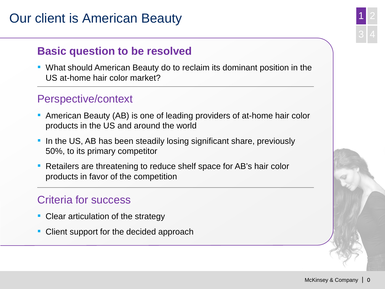## Our client is American Beauty

## **Basic question to be resolved**

■ What should American Beauty do to reclaim its dominant position in the US at-home hair color market?

### Perspective/context

- American Beauty (AB) is one of leading providers of at-home hair color products in the US and around the world
- **.** In the US, AB has been steadily losing significant share, previously 50%, to its primary competitor
- Retailers are threatening to reduce shelf space for AB's hair color products in favor of the competition

## Criteria for success

- Clear articulation of the strategy
- Client support for the decided approach

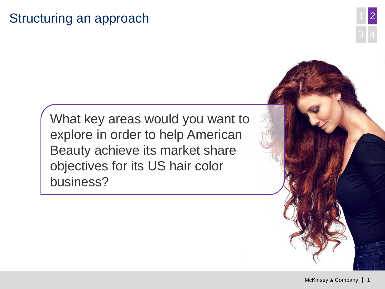## Structuring an approach

What key areas would you want to explore in order to help American Beauty achieve its market share objectives for its US hair color business?

2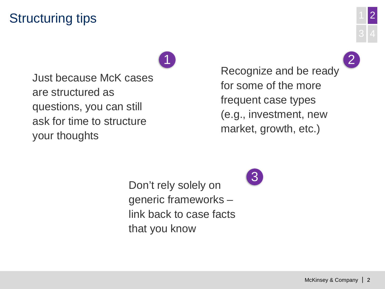## Structuring tips

Just because McK cases are structured as questions, you can still ask for time to structure your thoughts

1 2 Recognize and be ready for some of the more frequent case types (e.g., investment, new market, growth, etc.)

Don't rely solely on generic frameworks – link back to case facts that you know

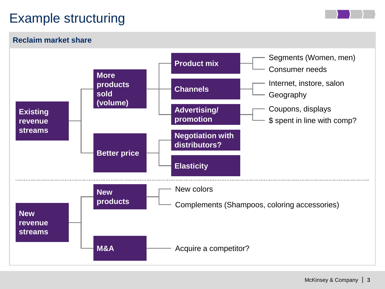# Example structuring



#### **Reclaim market share**

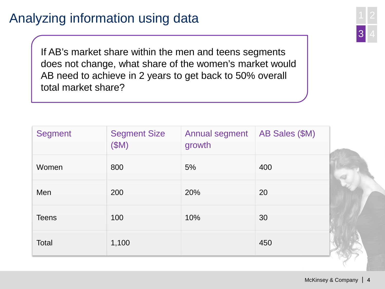## Analyzing information using data

If AB's market share within the men and teens segments does not change, what share of the women's market would AB need to achieve in 2 years to get back to 50% overall total market share?

| <b>Segment</b> | <b>Segment Size</b><br>(SM) | <b>Annual segment</b><br>growth | AB Sales (\$M) |
|----------------|-----------------------------|---------------------------------|----------------|
| Women          | 800                         | 5%                              | 400            |
| Men            | 200                         | 20%                             | 20             |
| <b>Teens</b>   | 100                         | 10%                             | 30             |
| Total          | 1,100                       |                                 | 450            |

3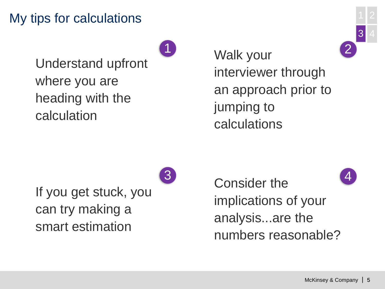## My tips for calculations

Understand upfront where you are heading with the calculation

 $1$  Walk vour  $2$ Walk your interviewer through an approach prior to jumping to calculations

If you get stuck, you can try making a smart estimation

 $3<sup>1</sup>$  Consider the  $\overline{\phantom{a}4}$ Consider the implications of your analysis...are the numbers reasonable?

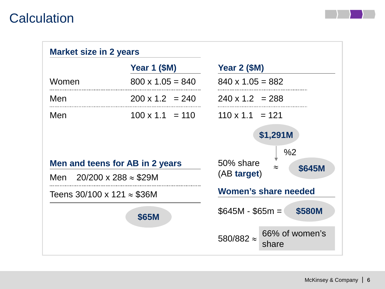## **Calculation**

| <b>Market size in 2 years</b>          |                         |                                                       |  |
|----------------------------------------|-------------------------|-------------------------------------------------------|--|
|                                        | <b>Year 1 (\$M)</b>     | Year $2$ (\$M)                                        |  |
| Women                                  | $800 \times 1.05 = 840$ | $840 \times 1.05 = 882$                               |  |
| Men                                    | $200 \times 1.2 = 240$  | $240 \times 1.2 = 288$                                |  |
| Men                                    | $100 \times 1.1 = 110$  | $110 \times 1.1 = 121$                                |  |
|                                        |                         | \$1,291M                                              |  |
| Men and teens for AB in 2 years        |                         | %2<br>50% share<br>\$645M<br>$\approx$<br>(AB target) |  |
| Men $20/200 \times 288 \approx $29M$   |                         |                                                       |  |
| Teens $30/100 \times 121 \approx $36M$ |                         | Women's share needed                                  |  |
| <b>\$65M</b>                           |                         | $$645M - $65m = 0$<br>\$580M                          |  |
|                                        |                         | 66% of women's<br>580/882 $\approx$<br>share          |  |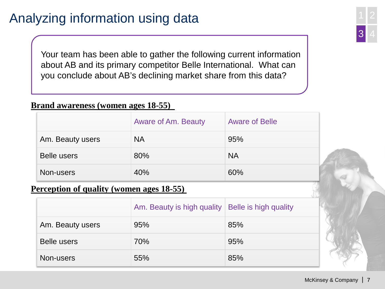# Analyzing information using data

Your team has been able to gather the following current information about AB and its primary competitor Belle International. What can you conclude about AB's declining market share from this data?

#### **Brand awareness (women ages 18-55)**

|                    | <b>Aware of Am. Beauty</b> | <b>Aware of Belle</b> |
|--------------------|----------------------------|-----------------------|
| Am. Beauty users   | <b>NA</b>                  | 95%                   |
| <b>Belle users</b> | 80%                        | <b>NA</b>             |
| Non-users          | 40%                        | 60%                   |

#### **Perception of quality (women ages 18-55)**

|                  | Am. Beauty is high quality   Belle is high quality |     |
|------------------|----------------------------------------------------|-----|
| Am. Beauty users | 95%                                                | 85% |
| Belle users      | 70%                                                | 95% |
| Non-users        | 55%                                                | 85% |

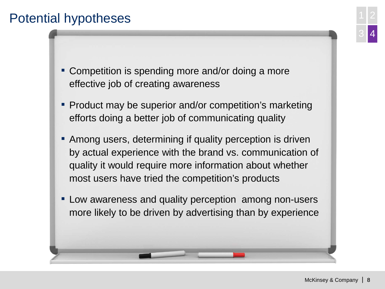## Potential hypotheses

- Competition is spending more and/or doing a more effective job of creating awareness
- Product may be superior and/or competition's marketing efforts doing a better job of communicating quality
- **Among users, determining if quality perception is driven** by actual experience with the brand vs. communication of quality it would require more information about whether most users have tried the competition's products
- **EXECT** Low awareness and quality perception among non-users more likely to be driven by advertising than by experience

4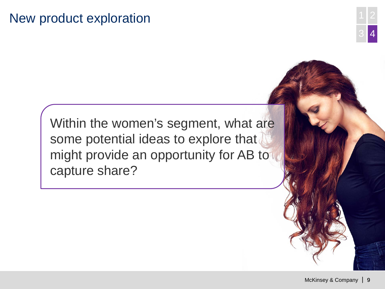## New product exploration



Within the women's segment, what are some potential ideas to explore that might provide an opportunity for AB to capture share?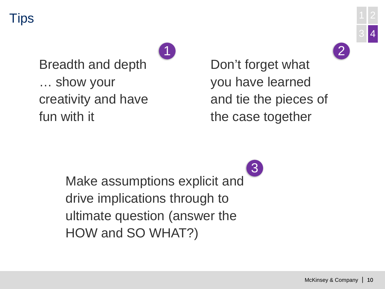Tips



1 2

Breadth and depth … show your creativity and have fun with it

Don't forget what you have learned and tie the pieces of the case together

Make assumptions explicit and drive implications through to ultimate question (answer the HOW and SO WHAT?) 3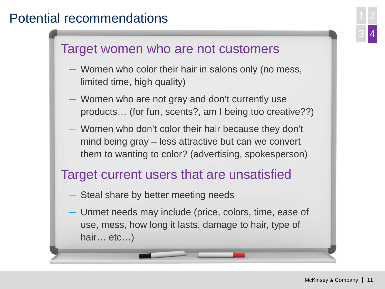## Potential recommendations <sup>1</sup>



## Target women who are not customers

- Women who color their hair in salons only (no mess, limited time, high quality)
- Women who are not gray and don't currently use products… (for fun, scents?, am I being too creative??)
- Women who don't color their hair because they don't mind being gray – less attractive but can we convert them to wanting to color? (advertising, spokesperson)

## Target current users that are unsatisfied

- Steal share by better meeting needs
- Unmet needs may include (price, colors, time, ease of use, mess, how long it lasts, damage to hair, type of hair… etc…)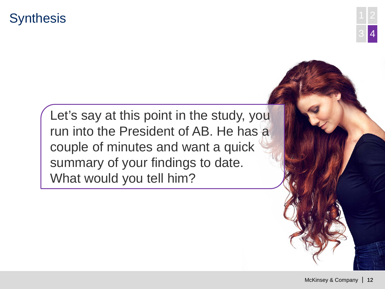## **Synthesis**



Let's say at this point in the study, you run into the President of AB. He has a couple of minutes and want a quick summary of your findings to date. What would you tell him?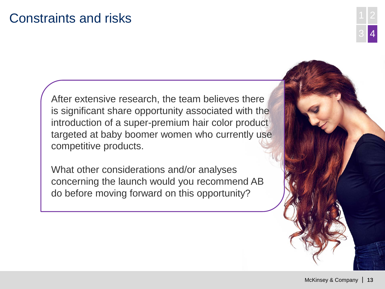## Constraints and risks

After extensive research, the team believes there is significant share opportunity associated with the introduction of a super-premium hair color product targeted at baby boomer women who currently use competitive products.

What other considerations and/or analyses concerning the launch would you recommend AB do before moving forward on this opportunity?

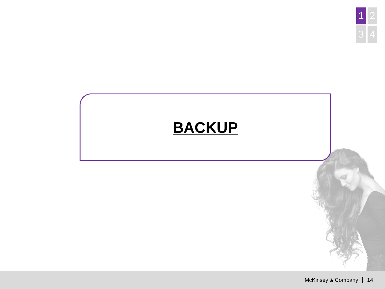

# **BACKUP**